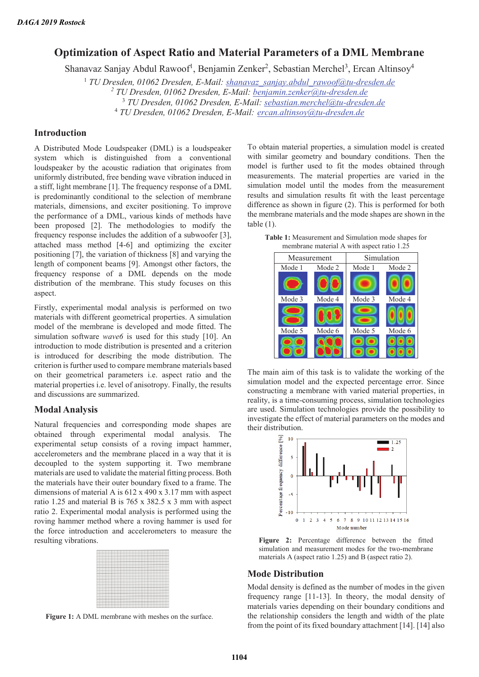# **Optimization of Aspect Ratio and Material Parameters of a DML Membrane**

Shanavaz Sanjay Abdul Rawoof<sup>1</sup>, Benjamin Zenker<sup>2</sup>, Sebastian Merchel<sup>3</sup>, Ercan Altinsoy<sup>4</sup>

<sup>1</sup> TU Dresden, 01062 Dresden, E-Mail: shanavaz\_sanjay.abdul\_rawoof@tu-dresden.de

*2 TU Dresden, 01062 Dresden, E-Mail: benjamin.zenker@tu-dresden.de* 

3  *TU Dresden, 01062 Dresden, E-Mail: sebastian.merchel@tu-dresden.de* 

4  *TU Dresden, 01062 Dresden, E-Mail: ercan.altinsoy@tu-dresden.de* 

## **Introduction**

A Distributed Mode Loudspeaker (DML) is a loudspeaker system which is distinguished from a conventional loudspeaker by the acoustic radiation that originates from uniformly distributed, free bending wave vibration induced in a stiff, light membrane [1]. The frequency response of a DML is predominantly conditional to the selection of membrane materials, dimensions, and exciter positioning. To improve the performance of a DML, various kinds of methods have been proposed [2]. The methodologies to modify the frequency response includes the addition of a subwoofer [3], attached mass method [4-6] and optimizing the exciter positioning [7], the variation of thickness [8] and varying the length of component beams [9]. Amongst other factors, the frequency response of a DML depends on the mode distribution of the membrane. This study focuses on this aspect.

Firstly, experimental modal analysis is performed on two materials with different geometrical properties. A simulation model of the membrane is developed and mode fitted. The simulation software *wave6* is used for this study [10]. An introduction to mode distribution is presented and a criterion is introduced for describing the mode distribution. The criterion is further used to compare membrane materials based on their geometrical parameters i.e. aspect ratio and the material properties i.e. level of anisotropy. Finally, the results and discussions are summarized.

### **Modal Analysis**

Natural frequencies and corresponding mode shapes are obtained through experimental modal analysis. The experimental setup consists of a roving impact hammer, accelerometers and the membrane placed in a way that it is decoupled to the system supporting it. Two membrane materials are used to validate the material fitting process. Both the materials have their outer boundary fixed to a frame. The dimensions of material A is 612 x 490 x 3.17 mm with aspect ratio 1.25 and material B is 765 x 382.5 x 3 mm with aspect ratio 2. Experimental modal analysis is performed using the roving hammer method where a roving hammer is used for the force introduction and accelerometers to measure the resulting vibrations.

|                                  | <b>Annual conditions does</b><br><b>Anna Anna Anna An</b>         |       |
|----------------------------------|-------------------------------------------------------------------|-------|
|                                  |                                                                   |       |
|                                  | ----                                                              |       |
|                                  |                                                                   |       |
|                                  |                                                                   |       |
|                                  |                                                                   |       |
|                                  |                                                                   |       |
| ___                              | ____                                                              |       |
|                                  |                                                                   |       |
|                                  |                                                                   |       |
|                                  |                                                                   |       |
|                                  |                                                                   |       |
|                                  |                                                                   |       |
|                                  |                                                                   |       |
|                                  |                                                                   |       |
|                                  |                                                                   |       |
|                                  |                                                                   |       |
|                                  |                                                                   |       |
|                                  |                                                                   |       |
|                                  | _______<br>$\overline{\phantom{a}}$<br>↽                          |       |
|                                  |                                                                   |       |
|                                  | <b>Accord continued</b><br>----                                   |       |
|                                  | _____<br>. .                                                      |       |
|                                  | the complex complete survival and state the complete survival and |       |
|                                  |                                                                   |       |
| and an advanced accordance       | -----                                                             |       |
|                                  |                                                                   |       |
|                                  |                                                                   |       |
|                                  |                                                                   | ----- |
| householders have been developed |                                                                   |       |
|                                  |                                                                   |       |
|                                  |                                                                   |       |
|                                  |                                                                   |       |
|                                  |                                                                   |       |
|                                  |                                                                   |       |
|                                  |                                                                   |       |
|                                  |                                                                   |       |
|                                  |                                                                   |       |
|                                  |                                                                   |       |

Figure 1: A DML membrane with meshes on the surface.

To obtain material properties, a simulation model is created with similar geometry and boundary conditions. Then the model is further used to fit the modes obtained through measurements. The material properties are varied in the simulation model until the modes from the measurement results and simulation results fit with the least percentage difference as shown in figure (2). This is performed for both the membrane materials and the mode shapes are shown in the table  $(1)$ .

**Table 1:** Measurement and Simulation mode shapes for membrane material A with aspect ratio 1.25



The main aim of this task is to validate the working of the simulation model and the expected percentage error. Since constructing a membrane with varied material properties, in reality, is a time-consuming process, simulation technologies are used. Simulation technologies provide the possibility to investigate the effect of material parameters on the modes and their distribution.



**Figure 2:** Percentage difference between the fitted simulation and measurement modes for the two-membrane materials A (aspect ratio 1.25) and B (aspect ratio 2).

#### **Mode Distribution**

Modal density is defined as the number of modes in the given frequency range [11-13]. In theory, the modal density of materials varies depending on their boundary conditions and the relationship considers the length and width of the plate from the point of its fixed boundary attachment [14]. [14] also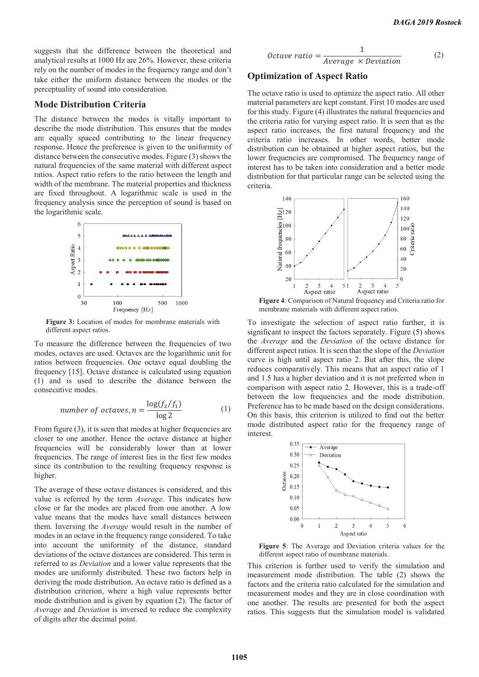suggests that the difference between the theoretical and analytical results at 1000 Hz are 26%. However, these criteria rely on the number of modes in the frequency range and don't take either the uniform distance between the modes or the perceptuality of sound into consideration.

### **Mode Distribution Criteria**

The distance between the modes is vitally important to describe the mode distribution. This ensures that the modes are equally spaced contributing to the linear frequency response. Hence the preference is given to the uniformity of distance between the consecutive modes. Figure (3) shows the natural frequencies of the same material with different aspect ratios. Aspect ratio refers to the ratio between the length and width of the membrane. The material properties and thickness are fixed throughout. A logarithmic scale is used in the frequency analysis since the perception of sound is based on the logarithmic scale.



**Figure 3:** Location of modes for membrane materials with different aspect ratios.

To measure the difference between the frequencies of two modes, octaves are used. Octaves are the logarithmic unit for ratios between frequencies. One octave equal doubling the frequency [15]. Octave distance is calculated using equation (1) and is used to describe the distance between the consecutive modes.

number of octaves, 
$$
n = \frac{\log(f_2/f_1)}{\log 2}
$$
 (1)

From figure (3), it is seen that modes at higher frequencies are closer to one another. Hence the octave distance at higher frequencies will be considerably lower than at lower frequencies. The range of interest lies in the first few modes since its contribution to the resulting frequency response is higher.

The average of these octave distances is considered, and this value is referred by the term *Average*. This indicates how close or far the modes are placed from one another. A low value means that the modes have small distances between them. Inversing the *Average* would result in the number of modes in an octave in the frequency range considered. To take into account the uniformity of the distance, standard deviations of the octave distances are considered. This term is referred to as *Deviation* and a lower value represents that the modes are uniformly distributed. These two factors help in deriving the mode distribution. An octave ratio is defined as a distribution criterion, where a high value represents better mode distribution and is given by equation (2). The factor of *Average* and *Deviation* is inversed to reduce the complexity of digits after the decimal point.

*Octave ratio* = 
$$
\frac{1}{Average \times Deviation}
$$
 (2)

### **Optimization of Aspect Ratio**

The octave ratio is used to optimize the aspect ratio. All other material parameters are kept constant. First 10 modes are used for this study. Figure (4) illustrates the natural frequencies and the criteria ratio for varying aspect ratio. It is seen that as the aspect ratio increases, the first natural frequency and the criteria ratio increases. In other words, better mode distribution can be obtained at higher aspect ratios, but the lower frequencies are compromised. The frequency range of interest has to be taken into consideration and a better mode distribution for that particular range can be selected using the criteria.



**Figure 4**: Comparison of Natural frequency and Criteria ratio for membrane materials with different aspect ratios.

To investigate the selection of aspect ratio further, it is significant to inspect the factors separately. Figure (5) shows the *Average* and the *Deviation* of the octave distance for different aspect ratios. It is seen that the slope of the *Deviation* curve is high until aspect ratio 2. But after this, the slope reduces comparatively. This means that an aspect ratio of 1 and 1.5 has a higher deviation and it is not preferred when in comparison with aspect ratio 2. However, this is a trade-off between the low frequencies and the mode distribution. Preference has to be made based on the design considerations. On this basis, this criterion is utilized to find out the better mode distributed aspect ratio for the frequency range of interest.



**Figure 5**: The Average and Deviation criteria values for the different aspect ratio of membrane materials.

This criterion is further used to verify the simulation and measurement mode distribution. The table (2) shows the factors and the criteria ratio calculated for the simulation and measurement modes and they are in close coordination with one another. The results are presented for both the aspect ratios. This suggests that the simulation model is validated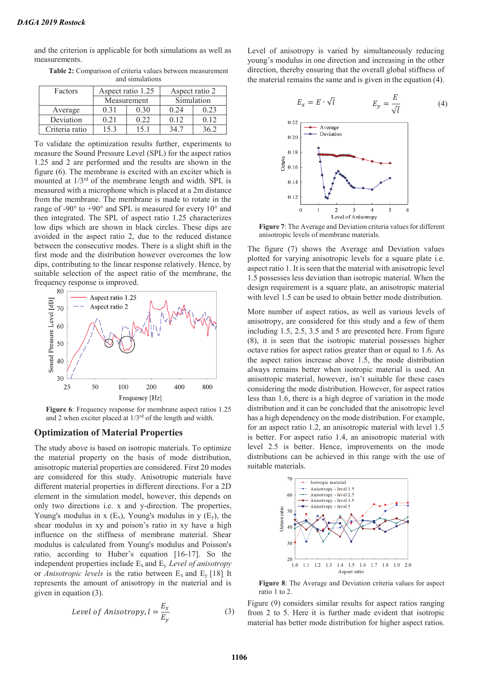and the criterion is applicable for both simulations as well as measurements.

| ang simulations |                   |      |                |            |  |
|-----------------|-------------------|------|----------------|------------|--|
| Factors         | Aspect ratio 1.25 |      | Aspect ratio 2 |            |  |
|                 | Measurement       |      | Simulation     |            |  |
| Average         | 0.31              | 0.30 | 0.24           | 0.23       |  |
| Deviation       | 0.21              | 0.22 | 0.12           | 0.12       |  |
| Criteria ratio  | 15.3              | 151  |                | $\sqrt{6}$ |  |

**Table 2:** Comparison of criteria values between measurement and simulations

To validate the optimization results further, experiments to measure the Sound Pressure Level (SPL) for the aspect ratios 1.25 and 2 are performed and the results are shown in the figure (6). The membrane is excited with an exciter which is mounted at 1/3rd of the membrane length and width. SPL is measured with a microphone which is placed at a 2m distance from the membrane. The membrane is made to rotate in the range of -90 $\degree$  to +90 $\degree$  and SPL is measured for every 10 $\degree$  and then integrated. The SPL of aspect ratio 1.25 characterizes low dips which are shown in black circles. These dips are avoided in the aspect ratio 2, due to the reduced distance between the consecutive modes. There is a slight shift in the first mode and the distribution however overcomes the low dips, contributing to the linear response relatively. Hence, by suitable selection of the aspect ratio of the membrane, the frequency response is improved.



**Figure 6**: Frequency response for membrane aspect ratios 1.25 and 2 when exciter placed at 1/3rd of the length and width.

#### **Optimization of Material Properties**

The study above is based on isotropic materials. To optimize the material property on the basis of mode distribution, anisotropic material properties are considered. First 20 modes are considered for this study. Anisotropic materials have different material properties in different directions. For a 2D element in the simulation model, however, this depends on only two directions i.e. x and y-direction. The properties, Young's modulus in x  $(E_x)$ , Young's modulus in y  $(E_y)$ , the shear modulus in xy and poison's ratio in xy have a high influence on the stiffness of membrane material. Shear modulus is calculated from Young's modulus and Poisson's ratio, according to Huber's equation [16-17]. So the independent properties include Ex and Ey. *Level of anisotropy* or *Anisotropic levels* is the ratio between  $E_x$  and  $E_y$  [18]. It represents the amount of anisotropy in the material and is given in equation (3).

Level of Anisotropy, 
$$
l = \frac{E_x}{E_y}
$$
 (3)

Level of anisotropy is varied by simultaneously reducing young's modulus in one direction and increasing in the other direction, thereby ensuring that the overall global stiffness of the material remains the same and is given in the equation (4).



**Figure 7**: The Average and Deviation criteria values for different anisotropic levels of membrane materials.

The figure (7) shows the Average and Deviation values plotted for varying anisotropic levels for a square plate i.e. aspect ratio 1. It is seen that the material with anisotropic level 1.5 possesses less deviation than isotropic material. When the design requirement is a square plate, an anisotropic material with level 1.5 can be used to obtain better mode distribution.

More number of aspect ratios, as well as various levels of anisotropy, are considered for this study and a few of them including 1.5, 2.5, 3.5 and 5 are presented here. From figure (8), it is seen that the isotropic material possesses higher octave ratios for aspect ratios greater than or equal to 1.6. As the aspect ratios increase above 1.5, the mode distribution always remains better when isotropic material is used. An anisotropic material, however, isn't suitable for these cases considering the mode distribution. However, for aspect ratios less than 1.6, there is a high degree of variation in the mode distribution and it can be concluded that the anisotropic level has a high dependency on the mode distribution. For example, for an aspect ratio 1.2, an anisotropic material with level 1.5 is better. For aspect ratio 1.4, an anisotropic material with level 2.5 is better. Hence, improvements on the mode distributions can be achieved in this range with the use of suitable materials.



**Figure 8**: The Average and Deviation criteria values for aspect ratio 1 to 2.

Figure (9) considers similar results for aspect ratios ranging from 2 to 5. Here it is further made evident that isotropic material has better mode distribution for higher aspect ratios.